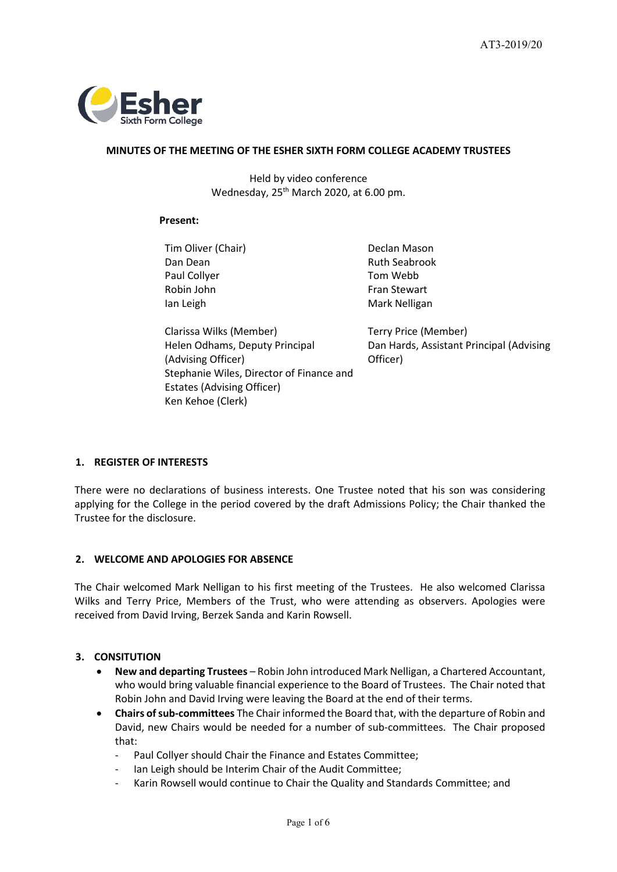

## **MINUTES OF THE MEETING OF THE ESHER SIXTH FORM COLLEGE ACADEMY TRUSTEES**

Held by video conference Wednesday, 25<sup>th</sup> March 2020, at 6.00 pm.

## **Present:**

Tim Oliver (Chair) **Declan Mason** Dan Dean **Ruth Seabrook** Paul Collyer Tom Webb Robin John Fran Stewart Ian Leigh Mark Nelligan

Clarissa Wilks (Member) Terry Price (Member) Helen Odhams, Deputy Principal (Advising Officer) Stephanie Wiles, Director of Finance and Estates (Advising Officer) Ken Kehoe (Clerk)

Dan Hards, Assistant Principal (Advising Officer)

# **1. REGISTER OF INTERESTS**

There were no declarations of business interests. One Trustee noted that his son was considering applying for the College in the period covered by the draft Admissions Policy; the Chair thanked the Trustee for the disclosure.

# **2. WELCOME AND APOLOGIES FOR ABSENCE**

The Chair welcomed Mark Nelligan to his first meeting of the Trustees. He also welcomed Clarissa Wilks and Terry Price, Members of the Trust, who were attending as observers. Apologies were received from David Irving, Berzek Sanda and Karin Rowsell.

# **3. CONSITUTION**

- **New and departing Trustees**  Robin John introduced Mark Nelligan, a Chartered Accountant, who would bring valuable financial experience to the Board of Trustees. The Chair noted that Robin John and David Irving were leaving the Board at the end of their terms.
- **Chairs of sub-committees** The Chair informed the Board that, with the departure of Robin and David, new Chairs would be needed for a number of sub-committees. The Chair proposed that:
	- Paul Collyer should Chair the Finance and Estates Committee;
	- Ian Leigh should be Interim Chair of the Audit Committee;
	- Karin Rowsell would continue to Chair the Quality and Standards Committee; and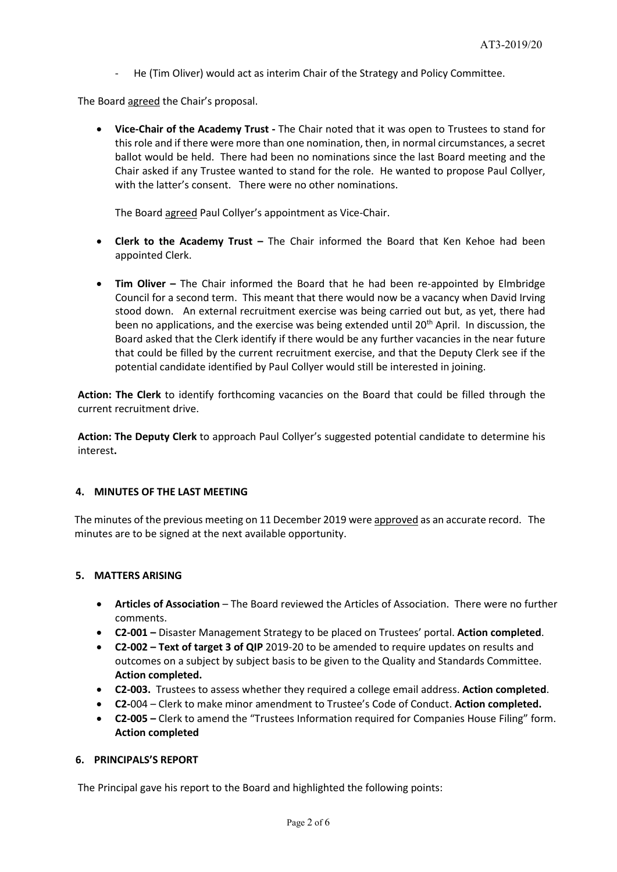He (Tim Oliver) would act as interim Chair of the Strategy and Policy Committee.

The Board agreed the Chair's proposal.

• **Vice-Chair of the Academy Trust -** The Chair noted that it was open to Trustees to stand for this role and if there were more than one nomination, then, in normal circumstances, a secret ballot would be held. There had been no nominations since the last Board meeting and the Chair asked if any Trustee wanted to stand for the role. He wanted to propose Paul Collyer, with the latter's consent. There were no other nominations.

The Board agreed Paul Collyer's appointment as Vice-Chair.

- **Clerk to the Academy Trust –** The Chair informed the Board that Ken Kehoe had been appointed Clerk.
- **Tim Oliver –** The Chair informed the Board that he had been re-appointed by Elmbridge Council for a second term. This meant that there would now be a vacancy when David Irving stood down. An external recruitment exercise was being carried out but, as yet, there had been no applications, and the exercise was being extended until  $20<sup>th</sup>$  April. In discussion, the Board asked that the Clerk identify if there would be any further vacancies in the near future that could be filled by the current recruitment exercise, and that the Deputy Clerk see if the potential candidate identified by Paul Collyer would still be interested in joining.

**Action: The Clerk** to identify forthcoming vacancies on the Board that could be filled through the current recruitment drive.

**Action: The Deputy Clerk** to approach Paul Collyer's suggested potential candidate to determine his interest**.**

# **4. MINUTES OF THE LAST MEETING**

The minutes of the previous meeting on 11 December 2019 were approved as an accurate record. The minutes are to be signed at the next available opportunity.

# **5. MATTERS ARISING**

- **Articles of Association** The Board reviewed the Articles of Association. There were no further comments.
- **C2-001 –** Disaster Management Strategy to be placed on Trustees' portal. **Action completed**.
- **C2-002 – Text of target 3 of QIP** 2019-20 to be amended to require updates on results and outcomes on a subject by subject basis to be given to the Quality and Standards Committee. **Action completed.**
- **C2-003.** Trustees to assess whether they required a college email address. **Action completed**.
- **C2-**004 Clerk to make minor amendment to Trustee's Code of Conduct. **Action completed.**
- **C2-005 –** Clerk to amend the "Trustees Information required for Companies House Filing" form. **Action completed**

# **6. PRINCIPALS'S REPORT**

The Principal gave his report to the Board and highlighted the following points: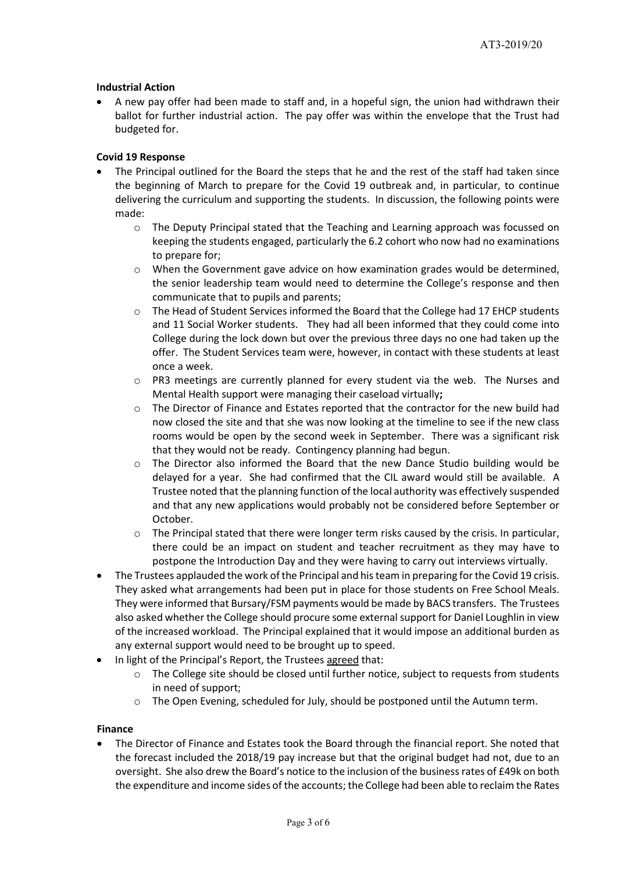# **Industrial Action**

• A new pay offer had been made to staff and, in a hopeful sign, the union had withdrawn their ballot for further industrial action. The pay offer was within the envelope that the Trust had budgeted for.

# **Covid 19 Response**

- The Principal outlined for the Board the steps that he and the rest of the staff had taken since the beginning of March to prepare for the Covid 19 outbreak and, in particular, to continue delivering the curriculum and supporting the students. In discussion, the following points were made:
	- o The Deputy Principal stated that the Teaching and Learning approach was focussed on keeping the students engaged, particularly the 6.2 cohort who now had no examinations to prepare for;
	- o When the Government gave advice on how examination grades would be determined, the senior leadership team would need to determine the College's response and then communicate that to pupils and parents;
	- o The Head of Student Services informed the Board that the College had 17 EHCP students and 11 Social Worker students. They had all been informed that they could come into College during the lock down but over the previous three days no one had taken up the offer. The Student Services team were, however, in contact with these students at least once a week.
	- $\circ$  PR3 meetings are currently planned for every student via the web. The Nurses and Mental Health support were managing their caseload virtually**;**
	- o The Director of Finance and Estates reported that the contractor for the new build had now closed the site and that she was now looking at the timeline to see if the new class rooms would be open by the second week in September. There was a significant risk that they would not be ready. Contingency planning had begun.
	- o The Director also informed the Board that the new Dance Studio building would be delayed for a year. She had confirmed that the CIL award would still be available. A Trustee noted that the planning function of the local authority was effectively suspended and that any new applications would probably not be considered before September or October.
	- $\circ$  The Principal stated that there were longer term risks caused by the crisis. In particular, there could be an impact on student and teacher recruitment as they may have to postpone the Introduction Day and they were having to carry out interviews virtually.
- The Trustees applauded the work of the Principal and his team in preparing for the Covid 19 crisis. They asked what arrangements had been put in place for those students on Free School Meals. They were informed that Bursary/FSM payments would be made by BACS transfers. The Trustees also asked whether the College should procure some external support for Daniel Loughlin in view of the increased workload. The Principal explained that it would impose an additional burden as any external support would need to be brought up to speed.
- In light of the Principal's Report, the Trustees agreed that:
	- $\circ$  The College site should be closed until further notice, subject to requests from students in need of support;
	- o The Open Evening, scheduled for July, should be postponed until the Autumn term.

# **Finance**

• The Director of Finance and Estates took the Board through the financial report. She noted that the forecast included the 2018/19 pay increase but that the original budget had not, due to an oversight. She also drew the Board's notice to the inclusion of the business rates of £49k on both the expenditure and income sides of the accounts; the College had been able to reclaim the Rates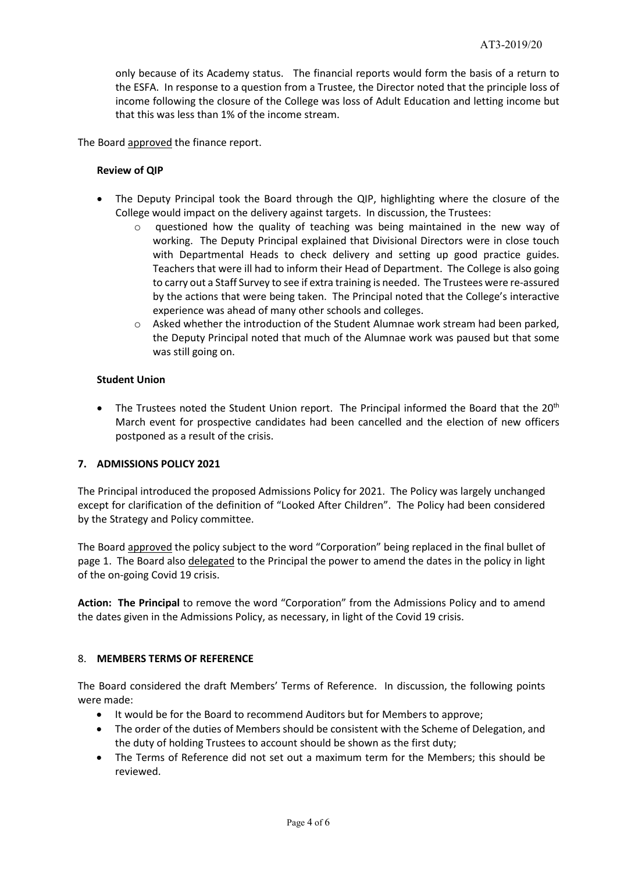only because of its Academy status. The financial reports would form the basis of a return to the ESFA. In response to a question from a Trustee, the Director noted that the principle loss of income following the closure of the College was loss of Adult Education and letting income but that this was less than 1% of the income stream.

The Board approved the finance report.

## **Review of QIP**

- The Deputy Principal took the Board through the QIP, highlighting where the closure of the College would impact on the delivery against targets. In discussion, the Trustees:
	- $\circ$  questioned how the quality of teaching was being maintained in the new way of working. The Deputy Principal explained that Divisional Directors were in close touch with Departmental Heads to check delivery and setting up good practice guides. Teachers that were ill had to inform their Head of Department. The College is also going to carry out a Staff Survey to see if extra training is needed. The Trustees were re-assured by the actions that were being taken. The Principal noted that the College's interactive experience was ahead of many other schools and colleges.
	- $\circ$  Asked whether the introduction of the Student Alumnae work stream had been parked, the Deputy Principal noted that much of the Alumnae work was paused but that some was still going on.

## **Student Union**

• The Trustees noted the Student Union report. The Principal informed the Board that the 20<sup>th</sup> March event for prospective candidates had been cancelled and the election of new officers postponed as a result of the crisis.

# **7. ADMISSIONS POLICY 2021**

The Principal introduced the proposed Admissions Policy for 2021. The Policy was largely unchanged except for clarification of the definition of "Looked After Children". The Policy had been considered by the Strategy and Policy committee.

The Board approved the policy subject to the word "Corporation" being replaced in the final bullet of page 1. The Board also delegated to the Principal the power to amend the dates in the policy in light of the on-going Covid 19 crisis.

**Action: The Principal** to remove the word "Corporation" from the Admissions Policy and to amend the dates given in the Admissions Policy, as necessary, in light of the Covid 19 crisis.

## 8. **MEMBERS TERMS OF REFERENCE**

The Board considered the draft Members' Terms of Reference. In discussion, the following points were made:

- It would be for the Board to recommend Auditors but for Members to approve;
- The order of the duties of Members should be consistent with the Scheme of Delegation, and the duty of holding Trustees to account should be shown as the first duty;
- The Terms of Reference did not set out a maximum term for the Members; this should be reviewed.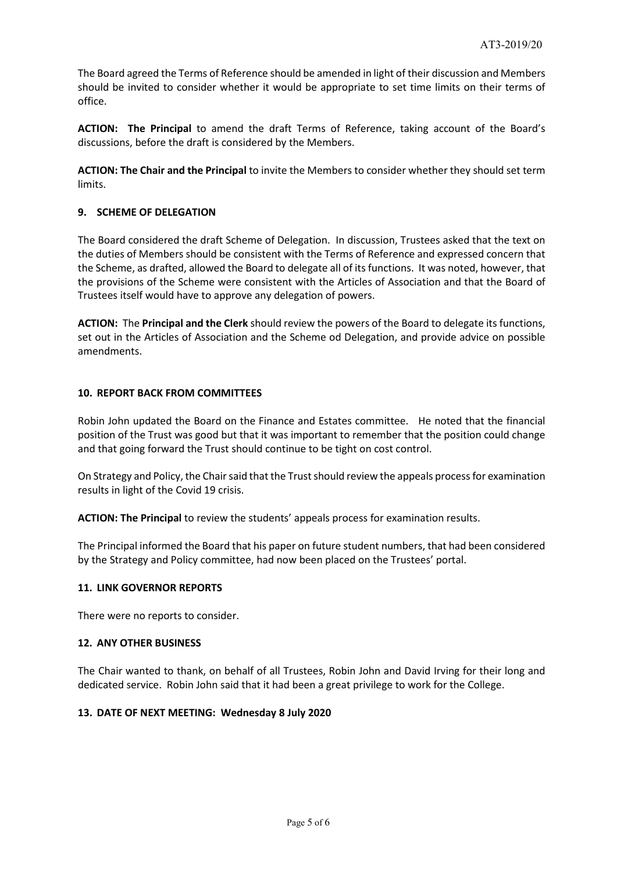The Board agreed the Terms of Reference should be amended in light of their discussion and Members should be invited to consider whether it would be appropriate to set time limits on their terms of office.

**ACTION: The Principal** to amend the draft Terms of Reference, taking account of the Board's discussions, before the draft is considered by the Members.

**ACTION: The Chair and the Principal** to invite the Members to consider whether they should set term limits.

# **9. SCHEME OF DELEGATION**

The Board considered the draft Scheme of Delegation. In discussion, Trustees asked that the text on the duties of Members should be consistent with the Terms of Reference and expressed concern that the Scheme, as drafted, allowed the Board to delegate all of its functions. It was noted, however, that the provisions of the Scheme were consistent with the Articles of Association and that the Board of Trustees itself would have to approve any delegation of powers.

**ACTION:** The **Principal and the Clerk** should review the powers of the Board to delegate its functions, set out in the Articles of Association and the Scheme od Delegation, and provide advice on possible amendments.

## **10. REPORT BACK FROM COMMITTEES**

Robin John updated the Board on the Finance and Estates committee. He noted that the financial position of the Trust was good but that it was important to remember that the position could change and that going forward the Trust should continue to be tight on cost control.

On Strategy and Policy, the Chair said that the Trust should review the appeals process for examination results in light of the Covid 19 crisis.

**ACTION: The Principal** to review the students' appeals process for examination results.

The Principal informed the Board that his paper on future student numbers, that had been considered by the Strategy and Policy committee, had now been placed on the Trustees' portal.

## **11. LINK GOVERNOR REPORTS**

There were no reports to consider.

## **12. ANY OTHER BUSINESS**

The Chair wanted to thank, on behalf of all Trustees, Robin John and David Irving for their long and dedicated service. Robin John said that it had been a great privilege to work for the College.

## **13. DATE OF NEXT MEETING: Wednesday 8 July 2020**